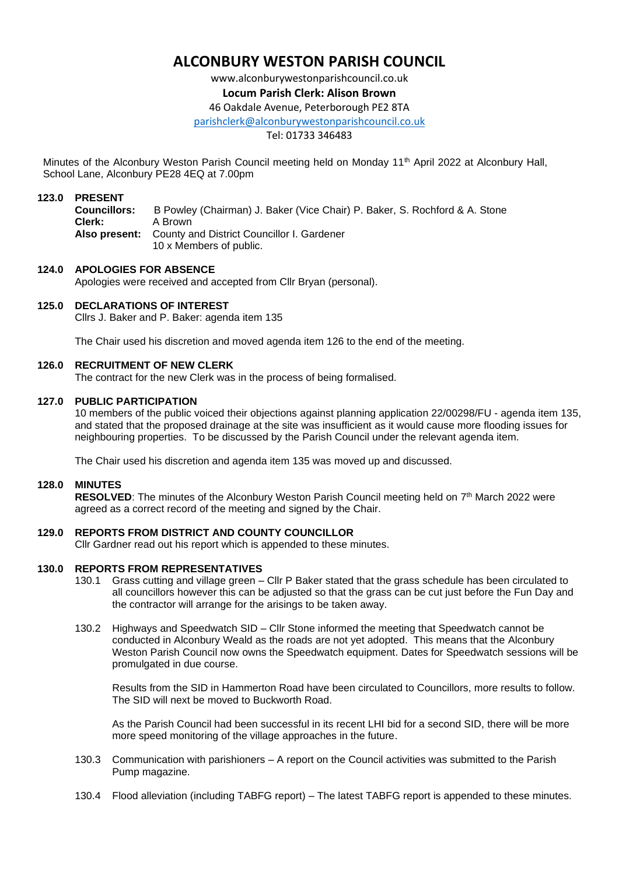# **ALCONBURY WESTON PARISH COUNCIL**

www.alconburywestonparishcouncil.co.uk

# **Locum Parish Clerk: Alison Brown**

46 Oakdale Avenue, Peterborough PE2 8TA

[parishclerk@alconburywestonparishcouncil.co.uk](mailto:parishclerk@alconburyparishcouncil.co.uk)

Tel: 01733 346483

Minutes of the Alconbury Weston Parish Council meeting held on Monday 11<sup>th</sup> April 2022 at Alconbury Hall, School Lane, Alconbury PE28 4EQ at 7.00pm

#### **123.0 PRESENT**

**Councillors:** B Powley (Chairman) J. Baker (Vice Chair) P. Baker, S. Rochford & A. Stone **Clerk:** A Brown **Also present:** County and District Councillor I. Gardener 10 x Members of public.

# **124.0 APOLOGIES FOR ABSENCE**

Apologies were received and accepted from Cllr Bryan (personal).

#### **125.0 DECLARATIONS OF INTEREST**

Cllrs J. Baker and P. Baker: agenda item 135

The Chair used his discretion and moved agenda item 126 to the end of the meeting.

#### **126.0 RECRUITMENT OF NEW CLERK**

The contract for the new Clerk was in the process of being formalised.

#### **127.0 PUBLIC PARTICIPATION**

10 members of the public voiced their objections against planning application 22/00298/FU - agenda item 135, and stated that the proposed drainage at the site was insufficient as it would cause more flooding issues for neighbouring properties. To be discussed by the Parish Council under the relevant agenda item.

The Chair used his discretion and agenda item 135 was moved up and discussed.

#### **128.0 MINUTES**

RESOLVED: The minutes of the Alconbury Weston Parish Council meeting held on 7<sup>th</sup> March 2022 were agreed as a correct record of the meeting and signed by the Chair.

# **129.0 REPORTS FROM DISTRICT AND COUNTY COUNCILLOR**

Cllr Gardner read out his report which is appended to these minutes.

#### **130.0 REPORTS FROM REPRESENTATIVES**

- 130.1 Grass cutting and village green Cllr P Baker stated that the grass schedule has been circulated to all councillors however this can be adjusted so that the grass can be cut just before the Fun Day and the contractor will arrange for the arisings to be taken away.
- 130.2 Highways and Speedwatch SID Cllr Stone informed the meeting that Speedwatch cannot be conducted in Alconbury Weald as the roads are not yet adopted. This means that the Alconbury Weston Parish Council now owns the Speedwatch equipment. Dates for Speedwatch sessions will be promulgated in due course.

Results from the SID in Hammerton Road have been circulated to Councillors, more results to follow. The SID will next be moved to Buckworth Road.

As the Parish Council had been successful in its recent LHI bid for a second SID, there will be more more speed monitoring of the village approaches in the future.

- 130.3 Communication with parishioners A report on the Council activities was submitted to the Parish Pump magazine.
- 130.4 Flood alleviation (including TABFG report) The latest TABFG report is appended to these minutes.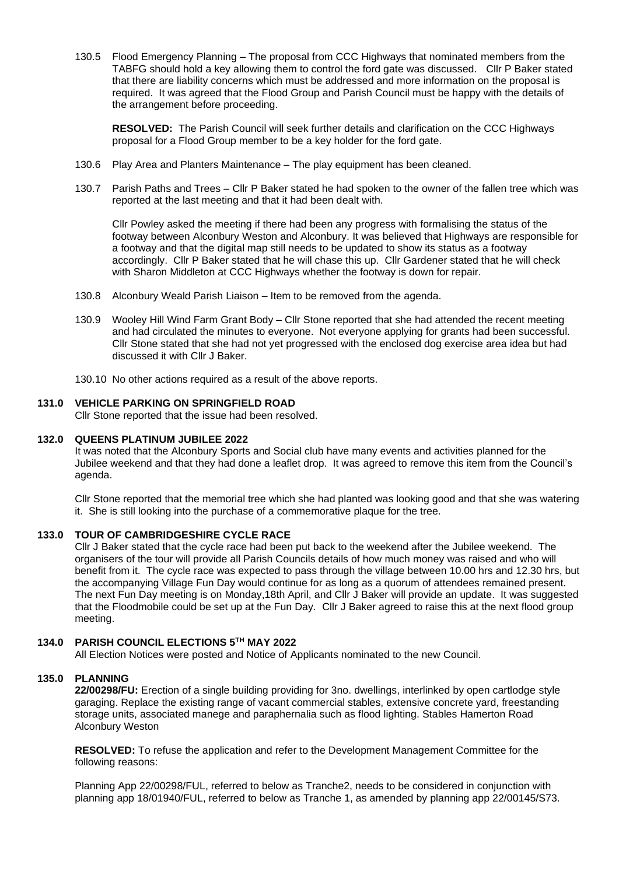130.5 Flood Emergency Planning – The proposal from CCC Highways that nominated members from the TABFG should hold a key allowing them to control the ford gate was discussed. Cllr P Baker stated that there are liability concerns which must be addressed and more information on the proposal is required. It was agreed that the Flood Group and Parish Council must be happy with the details of the arrangement before proceeding.

**RESOLVED:** The Parish Council will seek further details and clarification on the CCC Highways proposal for a Flood Group member to be a key holder for the ford gate.

- 130.6 Play Area and Planters Maintenance The play equipment has been cleaned.
- 130.7 Parish Paths and Trees Cllr P Baker stated he had spoken to the owner of the fallen tree which was reported at the last meeting and that it had been dealt with.

Cllr Powley asked the meeting if there had been any progress with formalising the status of the footway between Alconbury Weston and Alconbury. It was believed that Highways are responsible for a footway and that the digital map still needs to be updated to show its status as a footway accordingly. Cllr P Baker stated that he will chase this up. Cllr Gardener stated that he will check with Sharon Middleton at CCC Highways whether the footway is down for repair.

- 130.8 Alconbury Weald Parish Liaison Item to be removed from the agenda.
- 130.9 Wooley Hill Wind Farm Grant Body Cllr Stone reported that she had attended the recent meeting and had circulated the minutes to everyone. Not everyone applying for grants had been successful. Cllr Stone stated that she had not yet progressed with the enclosed dog exercise area idea but had discussed it with Cllr J Baker.
- 130.10 No other actions required as a result of the above reports.

#### **131.0 VEHICLE PARKING ON SPRINGFIELD ROAD**

Cllr Stone reported that the issue had been resolved.

#### **132.0 QUEENS PLATINUM JUBILEE 2022**

It was noted that the Alconbury Sports and Social club have many events and activities planned for the Jubilee weekend and that they had done a leaflet drop. It was agreed to remove this item from the Council's agenda.

Cllr Stone reported that the memorial tree which she had planted was looking good and that she was watering it. She is still looking into the purchase of a commemorative plaque for the tree.

#### **133.0 TOUR OF CAMBRIDGESHIRE CYCLE RACE**

Cllr J Baker stated that the cycle race had been put back to the weekend after the Jubilee weekend. The organisers of the tour will provide all Parish Councils details of how much money was raised and who will benefit from it. The cycle race was expected to pass through the village between 10.00 hrs and 12.30 hrs, but the accompanying Village Fun Day would continue for as long as a quorum of attendees remained present. The next Fun Day meeting is on Monday,18th April, and Cllr J Baker will provide an update. It was suggested that the Floodmobile could be set up at the Fun Day. Cllr J Baker agreed to raise this at the next flood group meeting.

# **134.0 PARISH COUNCIL ELECTIONS 5TH MAY 2022**

All Election Notices were posted and Notice of Applicants nominated to the new Council.

# **135.0 PLANNING**

**22/00298/FU:** Erection of a single building providing for 3no. dwellings, interlinked by open cartlodge style garaging. Replace the existing range of vacant commercial stables, extensive concrete yard, freestanding storage units, associated manege and paraphernalia such as flood lighting. Stables Hamerton Road Alconbury Weston

**RESOLVED:** To refuse the application and refer to the Development Management Committee for the following reasons:

Planning App 22/00298/FUL, referred to below as Tranche2, needs to be considered in conjunction with planning app 18/01940/FUL, referred to below as Tranche 1, as amended by planning app 22/00145/S73.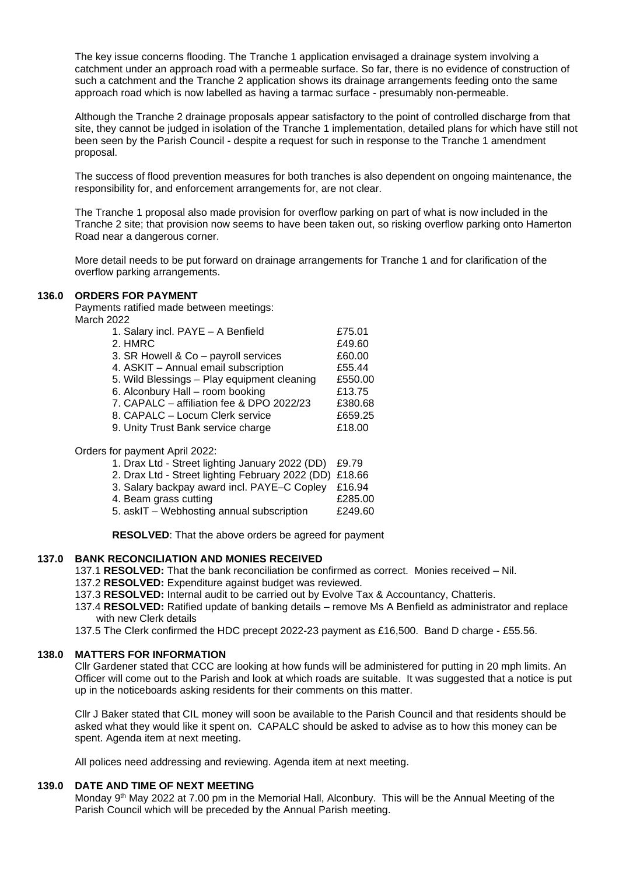The key issue concerns flooding. The Tranche 1 application envisaged a drainage system involving a catchment under an approach road with a permeable surface. So far, there is no evidence of construction of such a catchment and the Tranche 2 application shows its drainage arrangements feeding onto the same approach road which is now labelled as having a tarmac surface - presumably non-permeable.

Although the Tranche 2 drainage proposals appear satisfactory to the point of controlled discharge from that site, they cannot be judged in isolation of the Tranche 1 implementation, detailed plans for which have still not been seen by the Parish Council - despite a request for such in response to the Tranche 1 amendment proposal.

The success of flood prevention measures for both tranches is also dependent on ongoing maintenance, the responsibility for, and enforcement arrangements for, are not clear.

The Tranche 1 proposal also made provision for overflow parking on part of what is now included in the Tranche 2 site; that provision now seems to have been taken out, so risking overflow parking onto Hamerton Road near a dangerous corner.

More detail needs to be put forward on drainage arrangements for Tranche 1 and for clarification of the overflow parking arrangements.

#### **136.0 ORDERS FOR PAYMENT**

Payments ratified made between meetings: March 2022

| 1. Salary incl. PAYE - A Benfield           | £75.01  |
|---------------------------------------------|---------|
| 2. HMRC                                     | £49.60  |
| 3. SR Howell & Co - payroll services        | £60.00  |
| 4. ASKIT - Annual email subscription        | £55.44  |
| 5. Wild Blessings - Play equipment cleaning | £550.00 |
| 6. Alconbury Hall - room booking            | £13.75  |
| 7. CAPALC - affiliation fee & DPO 2022/23   | £380.68 |
| 8. CAPALC - Locum Clerk service             | £659.25 |
| 9. Unity Trust Bank service charge          | £18.00  |
|                                             |         |
| for navmant Anril 2022.                     |         |

Orders for payment April 2022:

- 1. Drax Ltd Street lighting January 2022 (DD) £9.79
- 2. Drax Ltd Street lighting February 2022 (DD) £18.66
- 3. Salary backpay award incl. PAYE–C Copley £16.94
- 4. Beam grass cutting **EXALL** 285.00
- 5. askIT Webhosting annual subscription £249.60

**RESOLVED**: That the above orders be agreed for payment

# **137.0 BANK RECONCILIATION AND MONIES RECEIVED**

137.1 **RESOLVED:** That the bank reconciliation be confirmed as correct. Monies received – Nil.

- 137.2 **RESOLVED:** Expenditure against budget was reviewed.
- 137.3 **RESOLVED:** Internal audit to be carried out by Evolve Tax & Accountancy, Chatteris.
- 137.4 **RESOLVED:** Ratified update of banking details remove Ms A Benfield as administrator and replace with new Clerk details
- 137.5 The Clerk confirmed the HDC precept 2022-23 payment as £16,500. Band D charge £55.56.

# **138.0 MATTERS FOR INFORMATION**

Cllr Gardener stated that CCC are looking at how funds will be administered for putting in 20 mph limits. An Officer will come out to the Parish and look at which roads are suitable. It was suggested that a notice is put up in the noticeboards asking residents for their comments on this matter.

Cllr J Baker stated that CIL money will soon be available to the Parish Council and that residents should be asked what they would like it spent on. CAPALC should be asked to advise as to how this money can be spent. Agenda item at next meeting.

All polices need addressing and reviewing. Agenda item at next meeting.

# **139.0 DATE AND TIME OF NEXT MEETING**

Monday 9<sup>th</sup> May 2022 at 7.00 pm in the Memorial Hall, Alconbury. This will be the Annual Meeting of the Parish Council which will be preceded by the Annual Parish meeting.